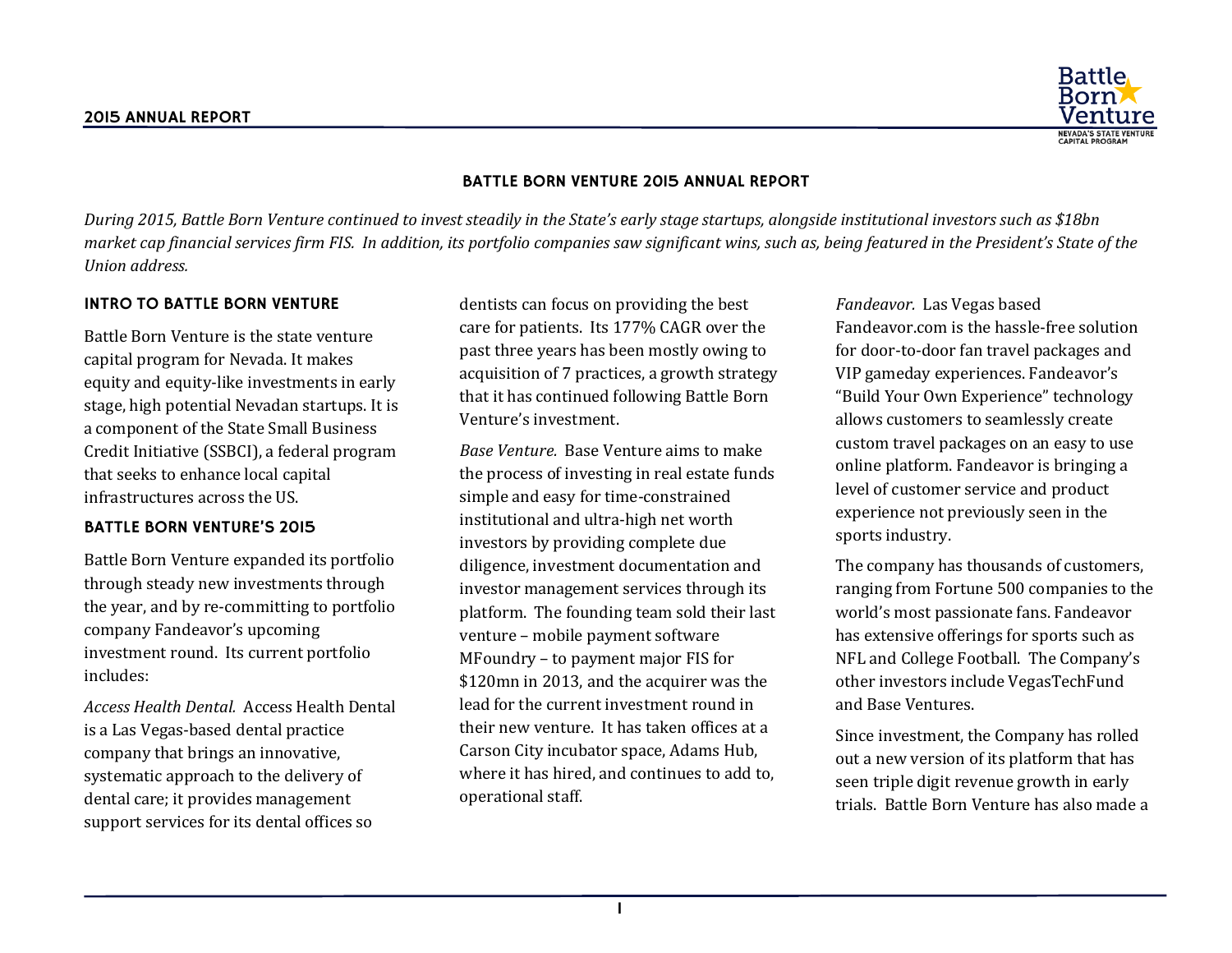

#### BATTLE BORN VENTURE 2015 ANNUAL REPORT

*During 2015, Battle Born Venture continued to invest steadily in the State's early stage startups, alongside institutional investors such as \$18bn market cap financial services firm FIS. In addition, its portfolio companies saw significant wins, such as, being featured in the President's State of the Union address.*

#### INTRO TO BATTLE BORN VENTURE

Battle Born Venture is the state venture capital program for Nevada. It makes equity and equity-like investments in early stage, high potential Nevadan startups. It is a component of the State Small Business Credit Initiative (SSBCI), a federal program that seeks to enhance local capital infrastructures across the US.

#### BATTLE BORN VENTURE'S 2015

Battle Born Venture expanded its portfolio through steady new investments through the year, and by re-committing to portfolio company Fandeavor's upcoming investment round. Its current portfolio includes:

*Access Health Dental.* Access Health Dental is a Las Vegas-based dental practice company that brings an innovative, systematic approach to the delivery of dental care; it provides management support services for its dental offices so

dentists can focus on providing the best care for patients. Its 177% CAGR over the past three years has been mostly owing to acquisition of 7 practices, a growth strategy that it has continued following Battle Born Venture's investment.

*Base Venture.* Base Venture aims to make the process of investing in real estate funds simple and easy for time-constrained institutional and ultra-high net worth investors by providing complete due diligence, investment documentation and investor management services through its platform. The founding team sold their last venture – mobile payment software MFoundry – to payment major FIS for \$120mn in 2013, and the acquirer was the lead for the current investment round in their new venture. It has taken offices at a Carson City incubator space, Adams Hub, where it has hired, and continues to add to, operational staff.

*Fandeavor.* Las Vegas based Fandeavor.com is the hassle-free solution for door-to-door fan travel packages and VIP gameday experiences. Fandeavor's "Build Your Own Experience" technology allows customers to seamlessly create custom travel packages on an easy to use online platform. Fandeavor is bringing a level of customer service and product experience not previously seen in the sports industry.

The company has thousands of customers, ranging from Fortune 500 companies to the world's most passionate fans. Fandeavor has extensive offerings for sports such as NFL and College Football. The Company's other investors include VegasTechFund and Base Ventures.

Since investment, the Company has rolled out a new version of its platform that has seen triple digit revenue growth in early trials. Battle Born Venture has also made a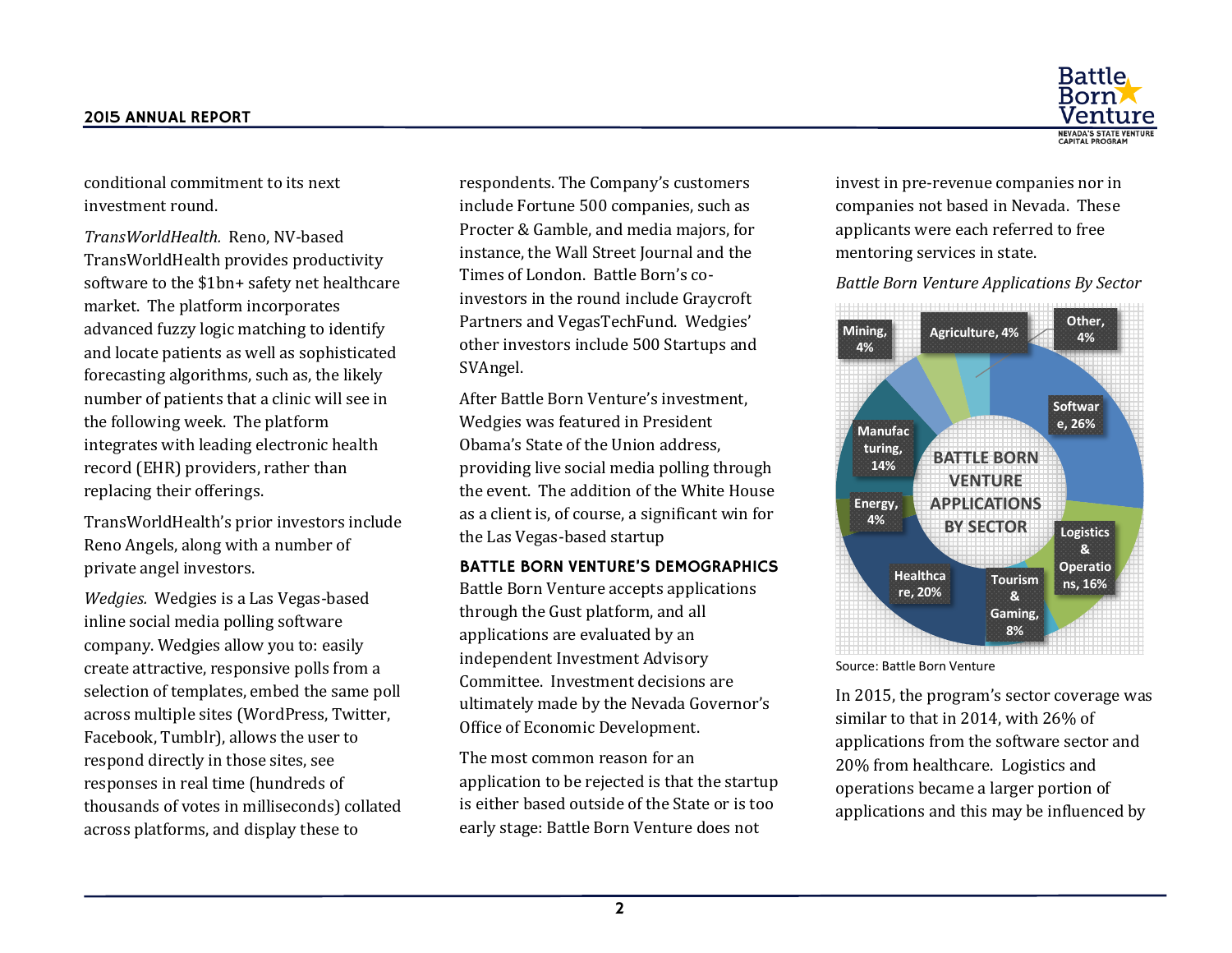

conditional commitment to its next investment round.

*TransWorldHealth.* Reno, NV-based TransWorldHealth provides productivity software to the \$1bn+ safety net healthcare market. The platform incorporates advanced fuzzy logic matching to identify and locate patients as well as sophisticated forecasting algorithms, such as, the likely number of patients that a clinic will see in the following week. The platform integrates with leading electronic health record (EHR) providers, rather than replacing their offerings.

TransWorldHealth's prior investors include Reno Angels, along with a number of private angel investors.

*Wedgies.* Wedgies is a Las Vegas-based inline social media polling software company. Wedgies allow you to: easily create attractive, responsive polls from a selection of templates, embed the same poll across multiple sites (WordPress, Twitter, Facebook, Tumblr), allows the user to respond directly in those sites, see responses in real time (hundreds of thousands of votes in milliseconds) collated across platforms, and display these to

respondents. The Company's customers include Fortune 500 companies, such as Procter & Gamble, and media majors, for instance, the Wall Street Journal and the Times of London. Battle Born's coinvestors in the round include Graycroft Partners and VegasTechFund. Wedgies' other investors include 500 Startups and SVAngel.

After Battle Born Venture's investment, Wedgies was featured in President Obama's State of the Union address, providing live social media polling through the event. The addition of the White House as a client is, of course, a significant win for the Las Vegas-based startup

#### BATTLE BORN VENTURE'S DEMOGRAPHICS

Battle Born Venture accepts applications through the Gust platform, and all applications are evaluated by an independent Investment Advisory Committee. Investment decisions are ultimately made by the Nevada Governor's Office of Economic Development.

The most common reason for an application to be rejected is that the startup is either based outside of the State or is too early stage: Battle Born Venture does not

invest in pre-revenue companies nor in companies not based in Nevada. These applicants were each referred to free mentoring services in state.

*Battle Born Venture Applications By Sector*



Source: Battle Born Venture

In 2015, the program's sector coverage was similar to that in 2014, with 26% of applications from the software sector and 20% from healthcare. Logistics and operations became a larger portion of applications and this may be influenced by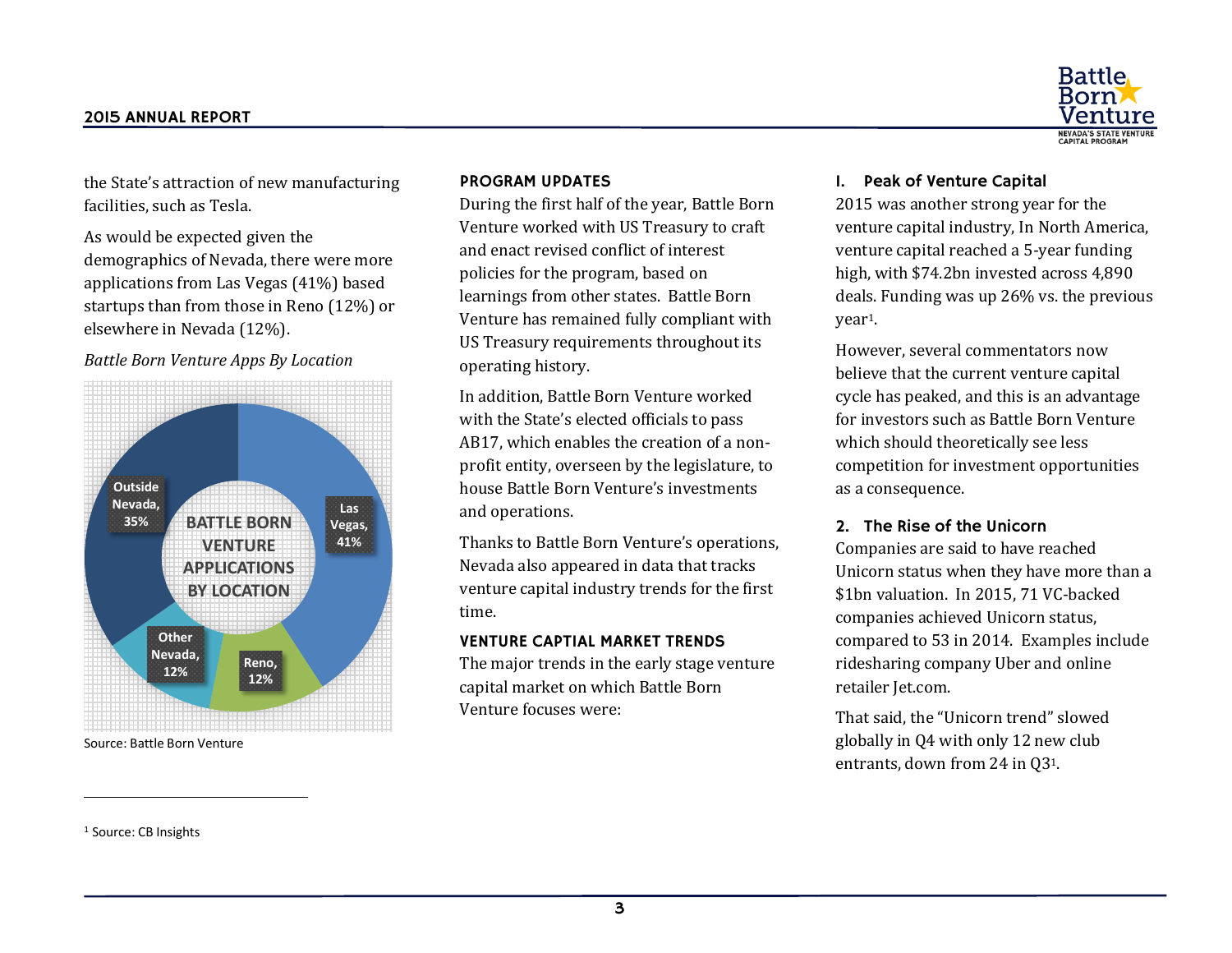

the State's attraction of new manufacturing facilities, such as Tesla.

As would be expected given the demographics of Nevada, there were more applications from Las Vegas (41%) based startups than from those in Reno (12%) or elsewhere in Nevada (12%).

# *Battle Born Venture Apps By Location*



Source: Battle Born Venture

## PROGRAM UPDATES

During the first half of the year, Battle Born Venture worked with US Treasury to craft and enact revised conflict of interest policies for the program, based on learnings from other states. Battle Born Venture has remained fully compliant with US Treasury requirements throughout its operating history.

In addition, Battle Born Venture worked with the State's elected officials to pass AB17, which enables the creation of a nonprofit entity, overseen by the legislature, to house Battle Born Venture's investments and operations.

Thanks to Battle Born Venture's operations, Nevada also appeared in data that tracks venture capital industry trends for the first time.

### VENTURE CAPTIAL MARKET TRENDS

The major trends in the early stage venture capital market on which Battle Born Venture focuses were:

## 1. Peak of Venture Capital

2015 was another strong year for the venture capital industry, In North America, venture capital reached a 5-year funding high, with \$74.2bn invested across 4,890 deals. Funding was up 26% vs. the previous year1.

<span id="page-2-0"></span>However, several commentators now believe that the current venture capital cycle has peaked, and this is an advantage for investors such as Battle Born Venture which should theoretically see less competition for investment opportunities as a consequence.

### 2. The Rise of the Unicorn

Companies are said to have reached Unicorn status when they have more than a \$1bn valuation. In 2015, 71 VC-backed companies achieved Unicorn status, compared to 53 in 2014. Examples include ridesharing company Uber and online retailer Jet.com.

That said, the "Unicorn trend" slowed globally in Q4 with only 12 new club entrants, down from 24 in Q[3](#page-2-0)1.

<sup>1</sup> Source: CB Insights

l